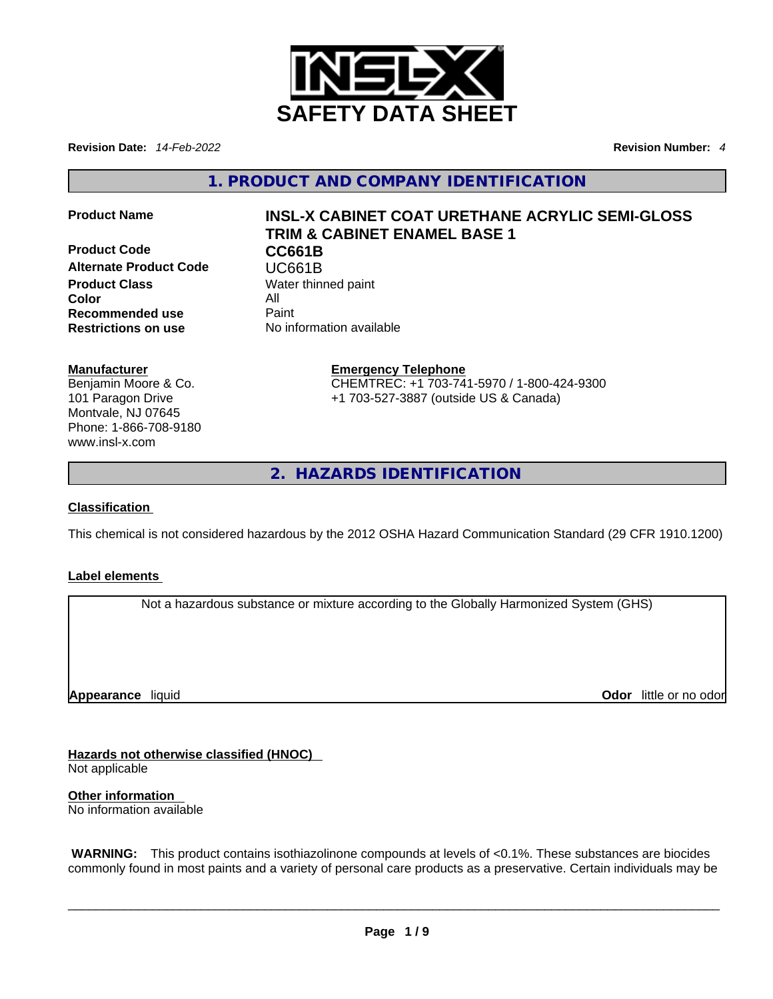

**Revision Date:** *14-Feb-2022* **Revision Number:** *4*

**1. PRODUCT AND COMPANY IDENTIFICATION** 

**Product Code CC661B Alternate Product Code CODE UC661B**<br> **Product Class** Water thing **Color** All **Recommended use** Paint<br> **Restrictions on use** No inf

# **Product Name INSL-X CABINET COAT URETHANE ACRYLIC SEMI-GLOSS TRIM & CABINET ENAMEL BASE 1**

**Water thinned paint Restrictions on use** No information available

# **Manufacturer**

Benjamin Moore & Co. 101 Paragon Drive Montvale, NJ 07645 Phone: 1-866-708-9180 www.insl-x.com

#### **Emergency Telephone** CHEMTREC: +1 703-741-5970 / 1-800-424-9300 +1 703-527-3887 (outside US & Canada)

**2. HAZARDS IDENTIFICATION** 

# **Classification**

This chemical is not considered hazardous by the 2012 OSHA Hazard Communication Standard (29 CFR 1910.1200)

# **Label elements**

Not a hazardous substance or mixture according to the Globally Harmonized System (GHS)

**Appearance** liquid

**Odor** little or no odor

**Hazards not otherwise classified (HNOC)**  Not applicable

**Other information**  No information available

 **WARNING:** This product contains isothiazolinone compounds at levels of <0.1%. These substances are biocides commonly found in most paints and a variety of personal care products as a preservative. Certain individuals may be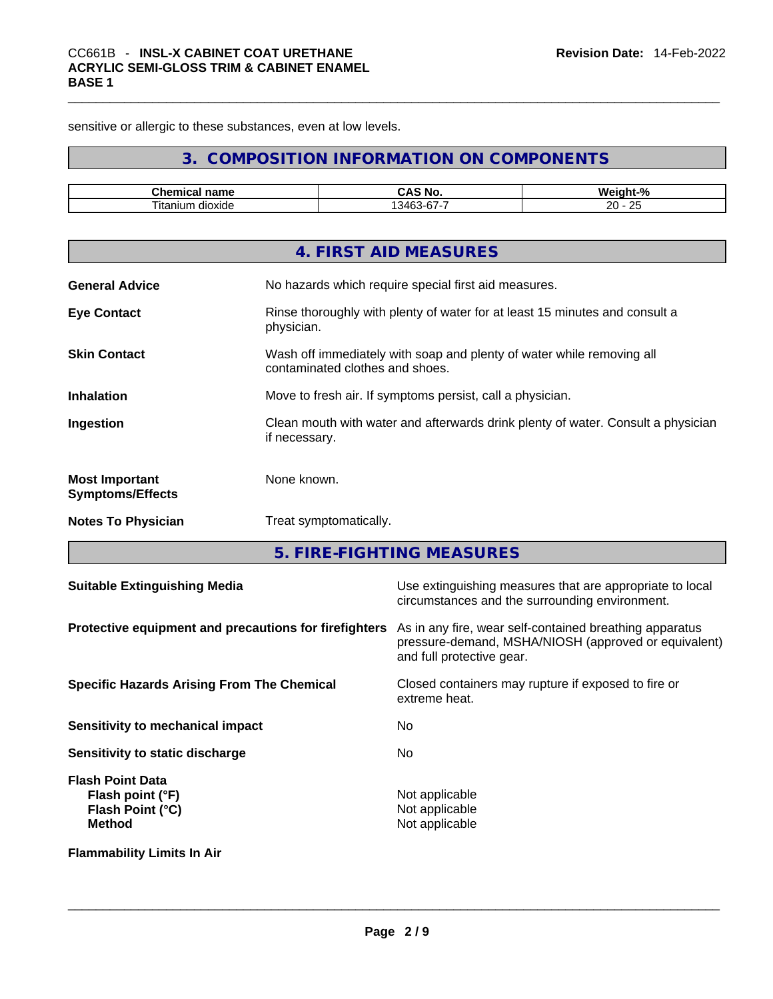sensitive or allergic to these substances, even at low levels.

# **3. COMPOSITION INFORMATION ON COMPONENTS**

| $- - -$      | NI/                                                   | $\Omega$<br>w.<br>70                                   |
|--------------|-------------------------------------------------------|--------------------------------------------------------|
| dioxide<br>ш | $\sim$ $\sim$ $\sim$ $\sim$ $\sim$ $\sim$ $\sim$<br>. | $\Omega$<br>חה<br><u>_</u><br>$ -$<br>$\sim$<br>$\sim$ |

|                                                  | 4. FIRST AID MEASURES                                                                                    |
|--------------------------------------------------|----------------------------------------------------------------------------------------------------------|
| <b>General Advice</b>                            | No hazards which require special first aid measures.                                                     |
| <b>Eye Contact</b>                               | Rinse thoroughly with plenty of water for at least 15 minutes and consult a<br>physician.                |
| <b>Skin Contact</b>                              | Wash off immediately with soap and plenty of water while removing all<br>contaminated clothes and shoes. |
| <b>Inhalation</b>                                | Move to fresh air. If symptoms persist, call a physician.                                                |
| Ingestion                                        | Clean mouth with water and afterwards drink plenty of water. Consult a physician<br>if necessary.        |
| <b>Most Important</b><br><b>Symptoms/Effects</b> | None known.                                                                                              |
| <b>Notes To Physician</b>                        | Treat symptomatically.                                                                                   |

**5. FIRE-FIGHTING MEASURES** 

| <b>Suitable Extinguishing Media</b>                                              | Use extinguishing measures that are appropriate to local<br>circumstances and the surrounding environment.                                   |
|----------------------------------------------------------------------------------|----------------------------------------------------------------------------------------------------------------------------------------------|
| Protective equipment and precautions for firefighters                            | As in any fire, wear self-contained breathing apparatus<br>pressure-demand, MSHA/NIOSH (approved or equivalent)<br>and full protective gear. |
| <b>Specific Hazards Arising From The Chemical</b>                                | Closed containers may rupture if exposed to fire or<br>extreme heat.                                                                         |
| Sensitivity to mechanical impact                                                 | No.                                                                                                                                          |
| Sensitivity to static discharge                                                  | No                                                                                                                                           |
| <b>Flash Point Data</b><br>Flash point (°F)<br>Flash Point (°C)<br><b>Method</b> | Not applicable<br>Not applicable<br>Not applicable                                                                                           |
| <b>Flammability Limits In Air</b>                                                |                                                                                                                                              |
|                                                                                  |                                                                                                                                              |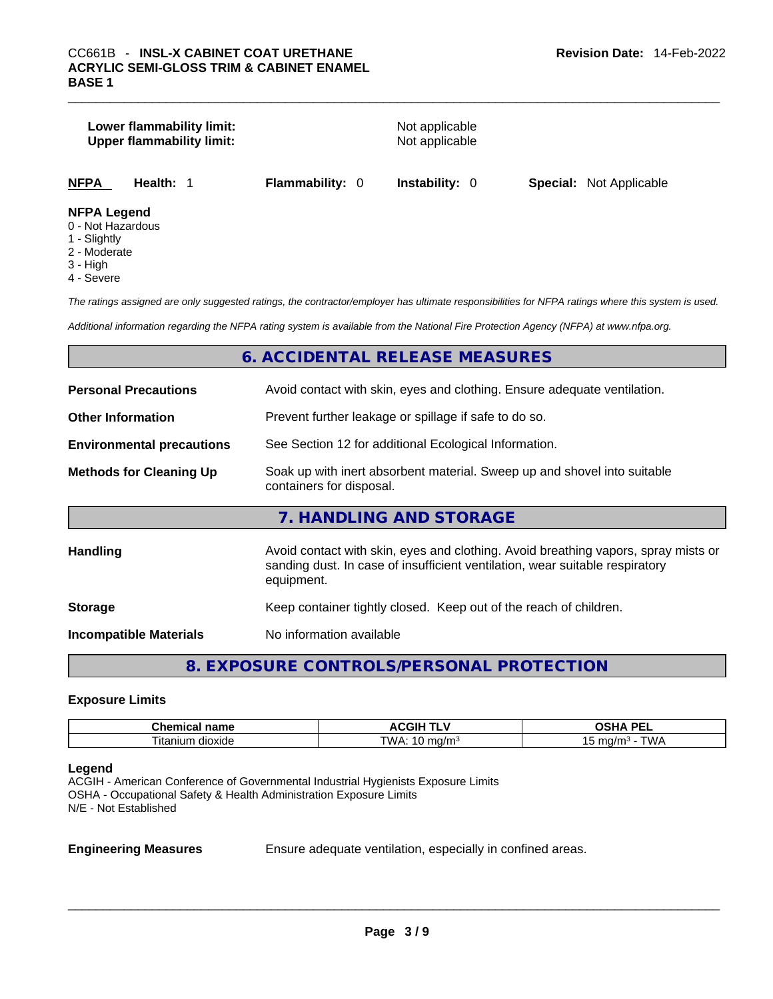# **Lower flammability limit:** Not applicable **Upper flammability limit:** Not applicable *The ratings assigned are only suggested ratings, the contractor/employer has ultimate responsibilities for NFPA ratings where this system is used. Additional information regarding the NFPA rating system is available from the National Fire Protection Agency (NFPA) at www.nfpa.org.*  **6. ACCIDENTAL RELEASE MEASURES Personal Precautions Avoid contact with skin, eyes and clothing. Ensure adequate ventilation. Other Information** Prevent further leakage or spillage if safe to do so. **Environmental precautions** See Section 12 for additional Ecological Information. **Methods for Cleaning Up** Soak up with inert absorbent material. Sweep up and shovel into suitable containers for disposal. **NFPA Health:** 1 **Flammability:** 0 **Instability:** 0 **Special:** Not Applicable **NFPA Legend** 0 - Not Hazardous 1 - Slightly 2 - Moderate 3 - High 4 - Severe

#### **7. HANDLING AND STORAGE**

| <b>Handling</b>               | Avoid contact with skin, eyes and clothing. Avoid breathing vapors, spray mists or<br>sanding dust. In case of insufficient ventilation, wear suitable respiratory<br>equipment. |
|-------------------------------|----------------------------------------------------------------------------------------------------------------------------------------------------------------------------------|
| <b>Storage</b>                | Keep container tightly closed. Keep out of the reach of children.                                                                                                                |
| <b>Incompatible Materials</b> | No information available                                                                                                                                                         |

# **8. EXPOSURE CONTROLS/PERSONAL PROTECTION**

#### **Exposure Limits**

| $R_{\rm max}$<br>nome<br>nıc<br>…ner<br>панс<br>-01 | $\sim$ $\sim$ $\sim$ $\sim$ $\sim$<br>. .<br>JGIF<br>71 I<br>. .<br> | <b>DEI</b><br>$\boldsymbol{\mathcal{L}}$<br>-- |
|-----------------------------------------------------|----------------------------------------------------------------------|------------------------------------------------|
| n dioxide                                           | TMA                                                                  | <b>TWL</b>                                     |
| ⊺ıtar                                               | ma                                                                   | mo.                                            |
| าเนท                                                | າ/mະ                                                                 | .                                              |

#### **Legend**

ACGIH - American Conference of Governmental Industrial Hygienists Exposure Limits OSHA - Occupational Safety & Health Administration Exposure Limits N/E - Not Established

**Engineering Measures** Ensure adequate ventilation, especially in confined areas.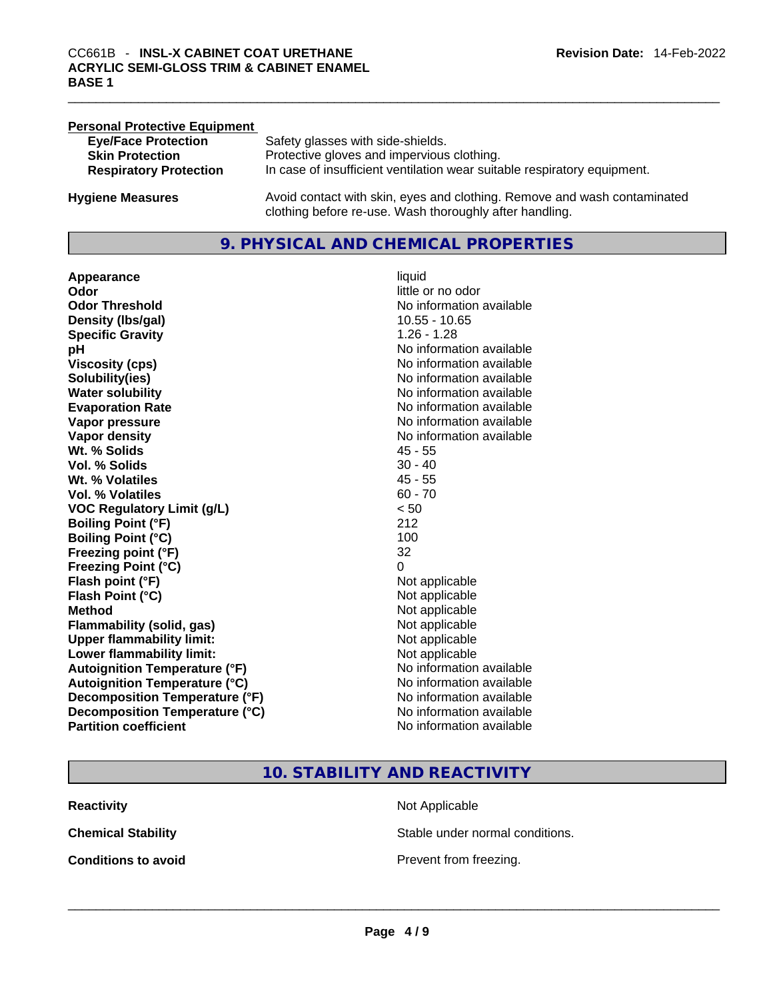| <b>Personal Protective Equipment</b> |                                                                                                                                     |
|--------------------------------------|-------------------------------------------------------------------------------------------------------------------------------------|
| <b>Eye/Face Protection</b>           | Safety glasses with side-shields.                                                                                                   |
| <b>Skin Protection</b>               | Protective gloves and impervious clothing.                                                                                          |
| <b>Respiratory Protection</b>        | In case of insufficient ventilation wear suitable respiratory equipment.                                                            |
| <b>Hygiene Measures</b>              | Avoid contact with skin, eyes and clothing. Remove and wash contaminated<br>clothing before re-use. Wash thoroughly after handling. |

### **9. PHYSICAL AND CHEMICAL PROPERTIES**

**Appearance** liquid **Odor**<br> **Odor Threshold**<br> **Odor Threshold**<br> **CODOR**<br> **CODOR**<br> **CODOR**<br> **CODOR**<br> **CODOR**<br> **CODOR**<br> **CODOR**<br> **CODOR**<br> **CODOR Density (lbs/gal)** 10.55 - 10.65 **Specific Gravity** 1.26 - 1.28 **pH bH** *pH* **Viscosity (cps) Viscosity (cps) No information available Solubility(ies)** No information available **Water solubility No information available No information available Evaporation Rate No information available No information available Vapor pressure No information available No information available Vapor density No information available No** information available **Wt. % Solids** 45 - 55 **Vol. % Solids Wt. % Volatiles** 45 - 55 **Vol. % Volatiles** 60 - 70 **VOC Regulatory Limit (g/L)** < 50 **Boiling Point (°F)** 212 **Boiling Point (°C)** 100 **Freezing point (°F)** 32 **Freezing Point (°C)** 0 **Flash point (°F)** Not applicable **Flash Point (°C)** Not applicable **Method**<br> **Plammability (solid, gas)**<br> **Plammability (solid, gas)**<br> **Not** applicable **Flammability** (solid, gas) **Upper flammability limit:**<br> **Lower flammability limit:** Not applicable Not applicable **Lower flammability limit:**<br> **Autoignition Temperature (°F)** Not applicable have not available **Autoignition Temperature (°F) Autoignition Temperature (°C)** No information available **Decomposition Temperature (°F)** No information available **Decomposition Temperature (°C)** No information available **Partition coefficient** No information available

**No information available** 

**10. STABILITY AND REACTIVITY** 

**Reactivity Not Applicable Not Applicable** 

**Chemical Stability** Stable under normal conditions.

**Conditions to avoid**<br> **Example 2018**<br> **Conditions to avoid**<br> **Example 2018**<br> **Prevent from freezing.**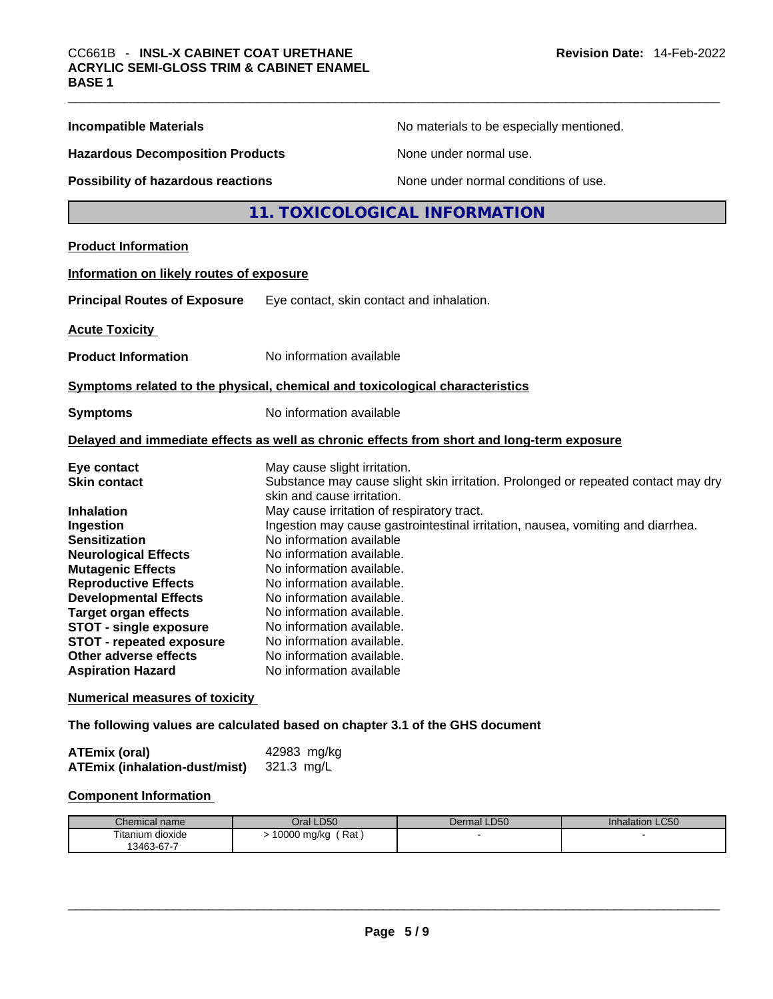| <b>Incompatible Materials</b>            | No materials to be especially mentioned.                                                                        |  |
|------------------------------------------|-----------------------------------------------------------------------------------------------------------------|--|
| <b>Hazardous Decomposition Products</b>  | None under normal use.                                                                                          |  |
| Possibility of hazardous reactions       | None under normal conditions of use.                                                                            |  |
|                                          | 11. TOXICOLOGICAL INFORMATION                                                                                   |  |
| <b>Product Information</b>               |                                                                                                                 |  |
| Information on likely routes of exposure |                                                                                                                 |  |
| <b>Principal Routes of Exposure</b>      | Eye contact, skin contact and inhalation.                                                                       |  |
| <b>Acute Toxicity</b>                    |                                                                                                                 |  |
| <b>Product Information</b>               | No information available                                                                                        |  |
|                                          | Symptoms related to the physical, chemical and toxicological characteristics                                    |  |
| <b>Symptoms</b>                          | No information available                                                                                        |  |
|                                          | Delayed and immediate effects as well as chronic effects from short and long-term exposure                      |  |
| Eye contact                              | May cause slight irritation.                                                                                    |  |
| <b>Skin contact</b>                      | Substance may cause slight skin irritation. Prolonged or repeated contact may dry<br>skin and cause irritation. |  |
| Inhalation                               | May cause irritation of respiratory tract.                                                                      |  |
| Ingestion                                | Ingestion may cause gastrointestinal irritation, nausea, vomiting and diarrhea.                                 |  |
| <b>Sensitization</b>                     | No information available                                                                                        |  |
| <b>Neurological Effects</b>              | No information available.                                                                                       |  |
| <b>Mutagenic Effects</b>                 | No information available.                                                                                       |  |
| <b>Reproductive Effects</b>              | No information available.                                                                                       |  |
| <b>Developmental Effects</b>             | No information available.                                                                                       |  |
| <b>Target organ effects</b>              | No information available.                                                                                       |  |
| <b>STOT - single exposure</b>            | No information available.                                                                                       |  |
| <b>STOT - repeated exposure</b>          | No information available.                                                                                       |  |
| Other adverse effects                    | No information available.                                                                                       |  |
| <b>Aspiration Hazard</b>                 | No information available                                                                                        |  |
| <b>Numerical measures of toxicity</b>    | The following values are calculated based on chapter 3.1 of the GHS document                                    |  |

ATEmix (oral) 42983 mg/kg<br>ATEmix (inhalation-dust/mist) 321.3 mg/L **ATEmix** (inhalation-dust/mist)

# **Component Information**

| Chemical name    | Oral LD50                                | Dermal LD50 | <b>Inhalation LC50</b> |
|------------------|------------------------------------------|-------------|------------------------|
| ⊺itanium dioxide | 0000<br>Rat<br>⊧mg/ka<br>$\cdot$ $\cdot$ |             |                        |
| 13463-67-7       |                                          |             |                        |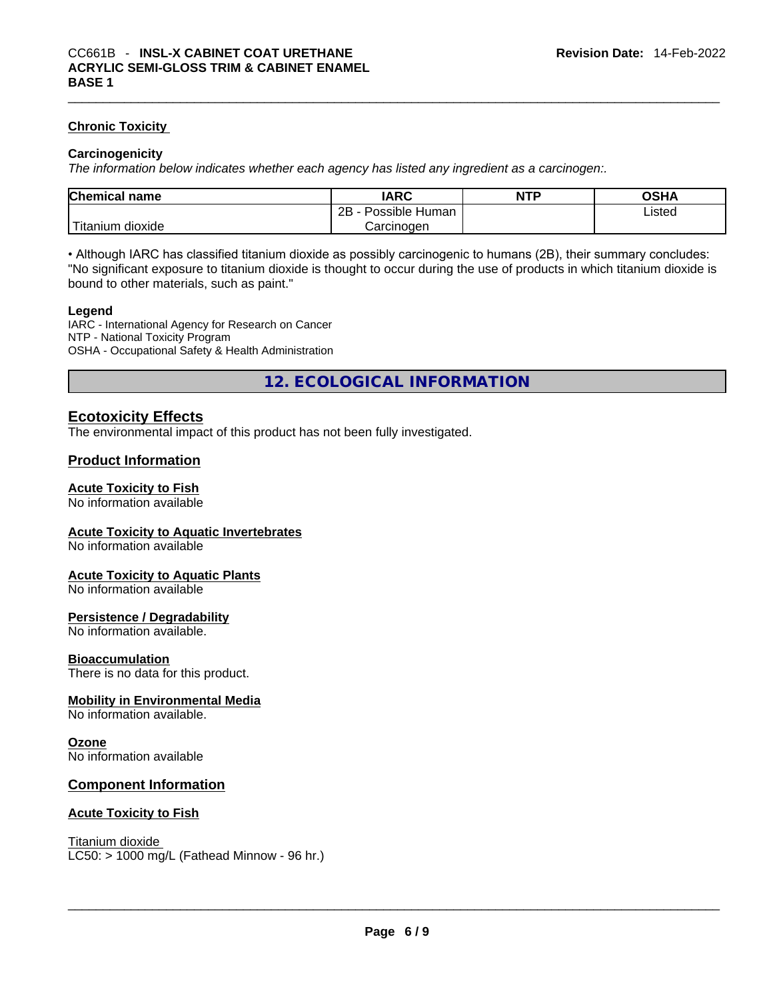#### **Chronic Toxicity**

#### **Carcinogenicity**

*The information below indicates whether each agency has listed any ingredient as a carcinogen:.* 

| <b>Chemical name</b>    | IARC                 | <b>NTP</b> | OSHA   |  |
|-------------------------|----------------------|------------|--------|--|
|                         | 2Β<br>Possible Human |            | ∟isted |  |
| ` Titanium ⊾<br>dioxide | Carcinoɑen           |            |        |  |

• Although IARC has classified titanium dioxide as possibly carcinogenic to humans (2B), their summary concludes: "No significant exposure to titanium dioxide is thought to occur during the use of products in which titanium dioxide is bound to other materials, such as paint."

#### **Legend**

IARC - International Agency for Research on Cancer NTP - National Toxicity Program OSHA - Occupational Safety & Health Administration

**12. ECOLOGICAL INFORMATION** 

### **Ecotoxicity Effects**

The environmental impact of this product has not been fully investigated.

# **Product Information**

#### **Acute Toxicity to Fish**

No information available

#### **Acute Toxicity to Aquatic Invertebrates**

No information available

#### **Acute Toxicity to Aquatic Plants**

No information available

#### **Persistence / Degradability**

No information available.

#### **Bioaccumulation**

There is no data for this product.

# **Mobility in Environmental Media**

No information available.

#### **Ozone**

No information available

#### **Component Information**

#### **Acute Toxicity to Fish**

Titanium dioxide

 $LC50:$  > 1000 mg/L (Fathead Minnow - 96 hr.)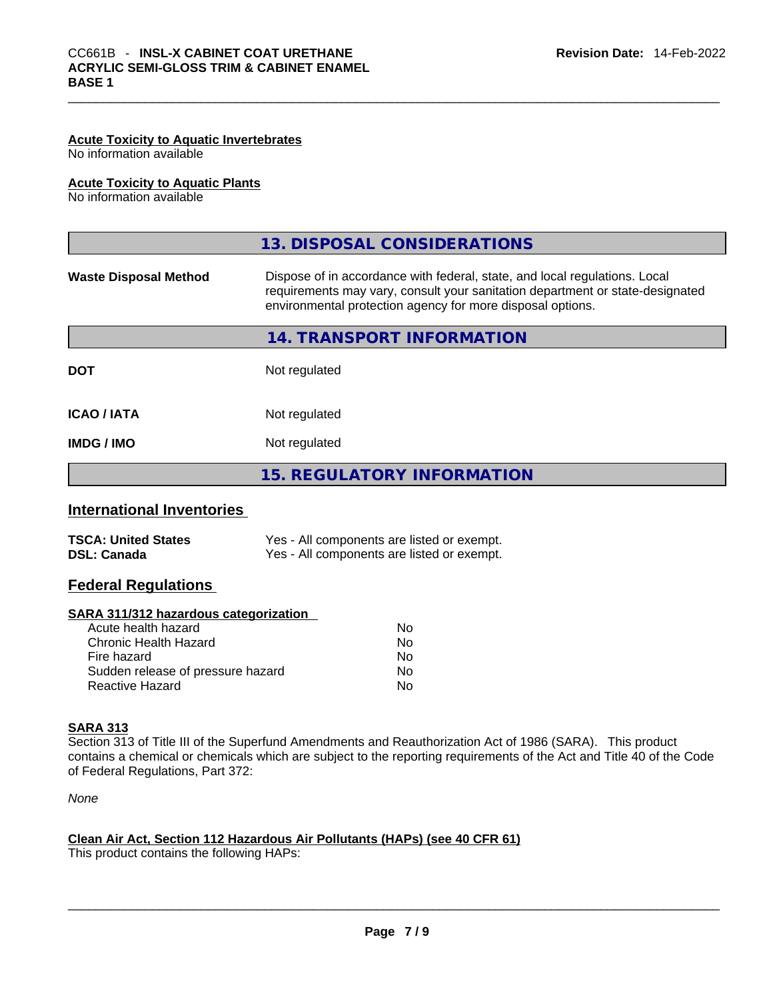# **Acute Toxicity to Aquatic Invertebrates**

No information available

#### **Acute Toxicity to Aquatic Plants**

No information available

|                              | 13. DISPOSAL CONSIDERATIONS                                                                                                                                                                                               |
|------------------------------|---------------------------------------------------------------------------------------------------------------------------------------------------------------------------------------------------------------------------|
| <b>Waste Disposal Method</b> | Dispose of in accordance with federal, state, and local regulations. Local<br>requirements may vary, consult your sanitation department or state-designated<br>environmental protection agency for more disposal options. |
|                              | 14. TRANSPORT INFORMATION                                                                                                                                                                                                 |
| <b>DOT</b>                   | Not regulated                                                                                                                                                                                                             |
| <b>ICAO / IATA</b>           | Not regulated                                                                                                                                                                                                             |
| IMDG / IMO                   | Not regulated                                                                                                                                                                                                             |
|                              | <b>15. REGULATORY INFORMATION</b>                                                                                                                                                                                         |
| International Inventories    |                                                                                                                                                                                                                           |

# **International Inventories**

| <b>TSCA: United States</b> | Yes - All components are listed or exempt. |
|----------------------------|--------------------------------------------|
| DSL: Canada                | Yes - All components are listed or exempt. |

# **Federal Regulations**

#### **SARA 311/312 hazardous categorization**

| Acute health hazard               | No  |
|-----------------------------------|-----|
| Chronic Health Hazard             | No. |
| Fire hazard                       | No  |
| Sudden release of pressure hazard | No. |
| Reactive Hazard                   | N٥  |

# **SARA 313**

Section 313 of Title III of the Superfund Amendments and Reauthorization Act of 1986 (SARA). This product contains a chemical or chemicals which are subject to the reporting requirements of the Act and Title 40 of the Code of Federal Regulations, Part 372:

*None*

#### **Clean Air Act,Section 112 Hazardous Air Pollutants (HAPs) (see 40 CFR 61)**

This product contains the following HAPs: \_\_\_\_\_\_\_\_\_\_\_\_\_\_\_\_\_\_\_\_\_\_\_\_\_\_\_\_\_\_\_\_\_\_\_\_\_\_\_\_\_\_\_\_\_\_\_\_\_\_\_\_\_\_\_\_\_\_\_\_\_\_\_\_\_\_\_\_\_\_\_\_\_\_\_\_\_\_\_\_\_\_\_\_\_\_\_\_\_\_\_\_\_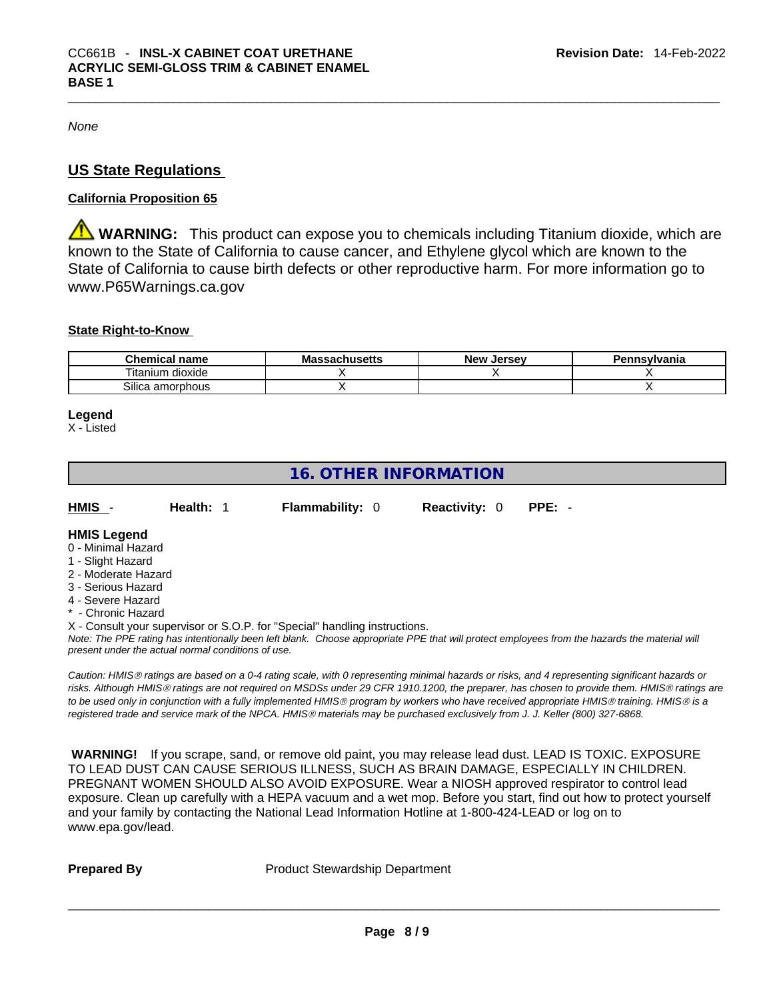*None*

# **US State Regulations**

# **California Proposition 65**

**WARNING:** This product can expose you to chemicals including Titanium dioxide, which are known to the State of California to cause cancer, and Ethylene glycol which are known to the State of California to cause birth defects or other reproductive harm. For more information go to www.P65Warnings.ca.gov

# **State Right-to-Know**

| Chemical<br>name                 | <b>sachusetts</b><br>Mas | New<br><b>Jersev</b> | Pennsvlvania |
|----------------------------------|--------------------------|----------------------|--------------|
| <br>--<br>l itanium<br>ı dioxide |                          |                      |              |
| <b></b><br>Silica amorphous      |                          |                      |              |

#### **Legend**

X - Listed

# **16. OTHER INFORMATION**

| HMIS -      | Health: 1 | <b>Flammability: 0</b> | <b>Reactivity: 0 PPE: -</b> |  |
|-------------|-----------|------------------------|-----------------------------|--|
| - -- -- - - |           |                        |                             |  |

# **HMIS Legend**

- 0 Minimal Hazard 1 - Slight Hazard
- 2 Moderate Hazard
- 3 Serious Hazard
- 4 Severe Hazard
- **Chronic Hazard**

X - Consult your supervisor or S.O.P. for "Special" handling instructions.

Note: The PPE rating has intentionally been left blank. Choose appropriate PPE that will protect employees from the hazards the material will *present under the actual normal conditions of use.* 

*Caution: HMISÒ ratings are based on a 0-4 rating scale, with 0 representing minimal hazards or risks, and 4 representing significant hazards or risks. Although HMISÒ ratings are not required on MSDSs under 29 CFR 1910.1200, the preparer, has chosen to provide them. HMISÒ ratings are to be used only in conjunction with a fully implemented HMISÒ program by workers who have received appropriate HMISÒ training. HMISÒ is a registered trade and service mark of the NPCA. HMISÒ materials may be purchased exclusively from J. J. Keller (800) 327-6868.* 

 **WARNING!** If you scrape, sand, or remove old paint, you may release lead dust. LEAD IS TOXIC. EXPOSURE TO LEAD DUST CAN CAUSE SERIOUS ILLNESS, SUCH AS BRAIN DAMAGE, ESPECIALLY IN CHILDREN. PREGNANT WOMEN SHOULD ALSO AVOID EXPOSURE. Wear a NIOSH approved respirator to control lead exposure. Clean up carefully with a HEPA vacuum and a wet mop. Before you start, find out how to protect yourself and your family by contacting the National Lead Information Hotline at 1-800-424-LEAD or log on to www.epa.gov/lead.

**Prepared By Product Stewardship Department**